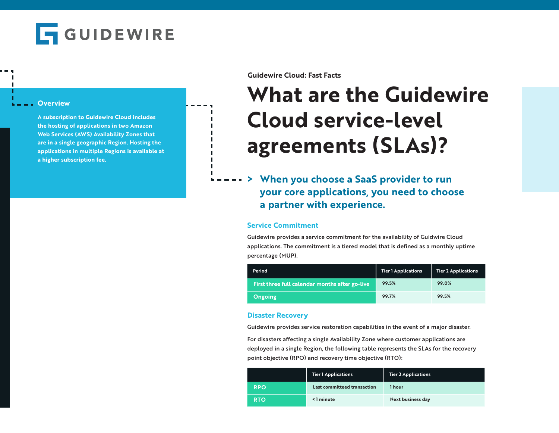

#### **Overview**

**A subscription to Guidewire Cloud includes the hosting of applications in two Amazon Web Services (AWS) Availability Zones that are in a single geographic Region. Hosting the applications in multiple Regions is available at a higher subscription fee.**

**Guidewire Cloud: Fast Facts**

# **What are the Guidewire Cloud service-level agreements (SLAs)?**

**> When you choose a SaaS provider to run your core applications, you need to choose a partner with experience.**

#### **Service Commitment**

Guidewire provides a service commitment for the availability of Guidwire Cloud applications. The commitment is a tiered model that is defined as a monthly uptime percentage (MUP).

| Period                                         | <b>Tier 1 Applications</b> | <b>Tier 2 Applications</b> |
|------------------------------------------------|----------------------------|----------------------------|
| First three full calendar months after go-live | 99.5%                      | 99.0%                      |
| <b>Ongoing</b>                                 | 99.7%                      | 99.5%                      |

### **Disaster Recovery**

Guidewire provides service restoration capabilities in the event of a major disaster.

For disasters affecting a single Availability Zone where customer applications are deployed in a single Region, the following table represents the SLAs for the recovery point objective (RPO) and recovery time objective (RTO):

|            | <b>Tier 1 Applications</b>  | <b>Tier 2 Applications</b> |
|------------|-----------------------------|----------------------------|
| <b>RPO</b> | Last committeed transaction | 1 hour                     |
| <b>RTO</b> | <1 minute                   | <b>Next business day</b>   |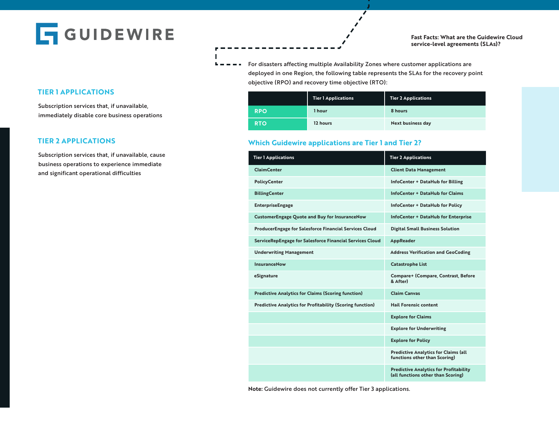**GUIDEWIRE** 

#### **Fast Facts: What are the Guidewire Cloud service-level agreements (SLAs)?**

**For disasters affecting multiple Availability Zones where customer applications are** deployed in one Region, the following table represents the SLAs for the recovery point objective (RPO) and recovery time objective (RTO):

|            | <b>Tier 1 Applications</b> | <b>Tier 2 Applications</b> |
|------------|----------------------------|----------------------------|
| <b>RPO</b> | 1 hour                     | 8 hours                    |
| <b>RTO</b> | 12 hours                   | <b>Next business day</b>   |

## **Which Guidewire applications are Tier 1 and Tier 2?**

| <b>Tier 1 Applications</b>                                       | <b>Tier 2 Applications</b>                                                          |
|------------------------------------------------------------------|-------------------------------------------------------------------------------------|
| <b>ClaimCenter</b>                                               | <b>Client Data Management</b>                                                       |
| <b>PolicyCenter</b>                                              | InfoCenter + DataHub for Billing                                                    |
| <b>BillingCenter</b>                                             | InfoCenter + DataHub for Claims                                                     |
| <b>EnterpriseEngage</b>                                          | InfoCenter + DataHub for Policy                                                     |
| <b>CustomerEngage Quote and Buy for InsuranceNow</b>             | <b>InfoCenter + DataHub for Enterprise</b>                                          |
| <b>ProducerEngage for Salesforce Financial Services Cloud</b>    | <b>Digital Small Business Solution</b>                                              |
| ServiceRepEngage for Salesforce Financial Services Cloud         | <b>AppReader</b>                                                                    |
| <b>Underwriting Management</b>                                   | <b>Address Verification and GeoCoding</b>                                           |
| InsuranceNow                                                     | <b>Catastrophe List</b>                                                             |
| eSignature                                                       | Compare+ (Compare, Contrast, Before<br>& After)                                     |
| <b>Predictive Analytics for Claims (Scoring function)</b>        | <b>Claim Canvas</b>                                                                 |
| <b>Predictive Analytics for Profitability (Scoring function)</b> | <b>Hail Forensic content</b>                                                        |
|                                                                  | <b>Explore for Claims</b>                                                           |
|                                                                  | <b>Explore for Underwriting</b>                                                     |
|                                                                  | <b>Explore for Policy</b>                                                           |
|                                                                  | <b>Predictive Analytics for Claims (all</b><br>functions other than Scoring)        |
|                                                                  | <b>Predictive Analytics for Profitability</b><br>(all functions other than Scoring) |

**Note:** Guidewire does not currently offer Tier 3 applications.

# **TIER 1 APPLICATIONS**

Subscription services that, if unavailable, immediately disable core business operations

## **TIER 2 APPLICATIONS**

Subscription services that, if unavailable, cause business operations to experience immediate and significant operational difficulties